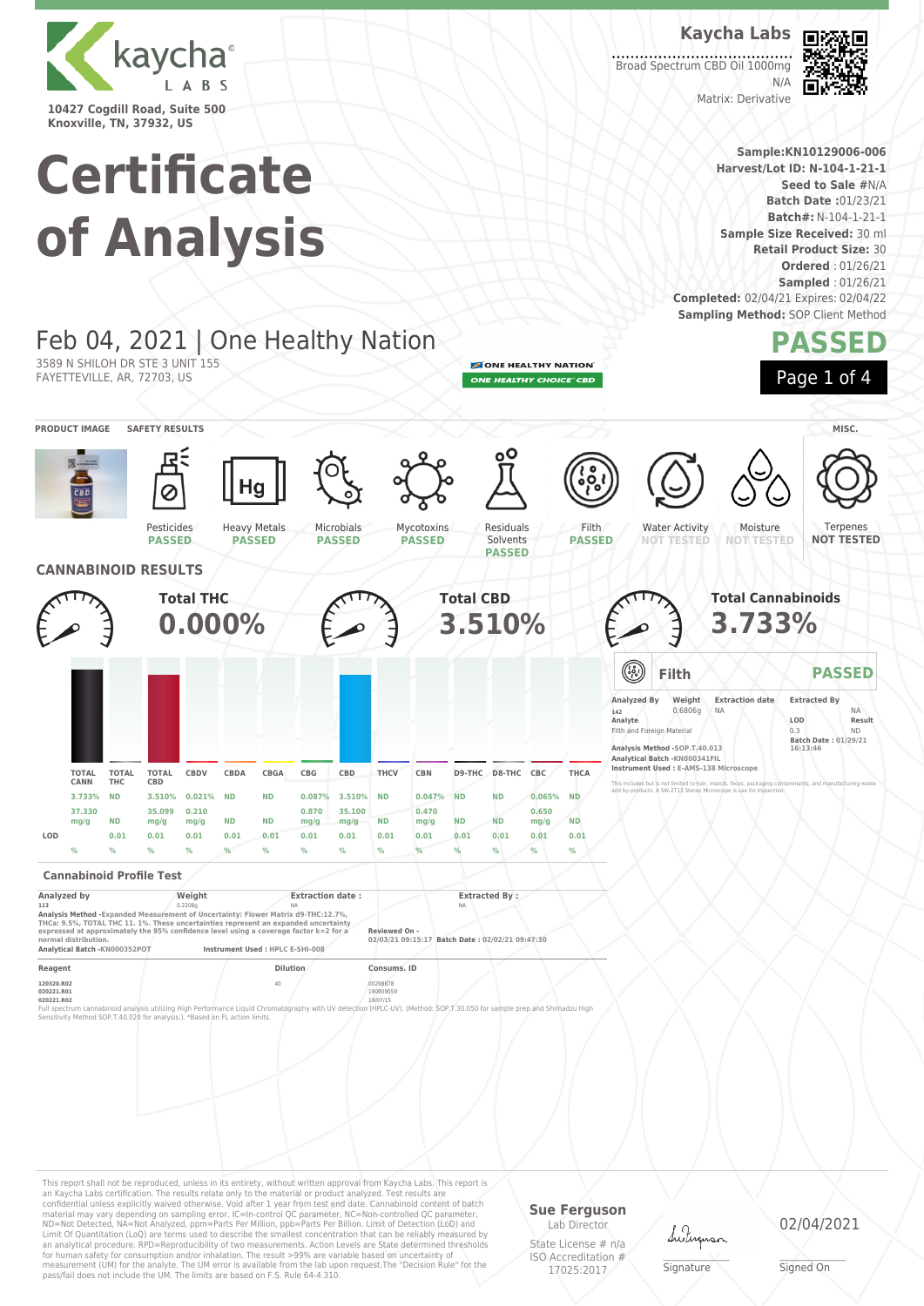

**Knoxville, TN, 37932, US**

# **Certificate of Analysis**

Feb 04, 2021 | One Healthy Nation

Heavy Metals **PASSED**

**Kaycha Labs** Broad Spectrum CBD Oil 1000mg

回然近回 æ 同动

Matrix: Derivative

**Sample:KN10129006-006 Harvest/Lot ID: N-104-1-21-1 Seed to Sale #**N/A **Batch Date :**01/23/21 **Batch#:** N-104-1-21-1 **Sample Size Received:** 30 ml

**Retail Product Size:** 30

**Ordered** : 01/26/21 **Sampled** : 01/26/21 **Completed:** 02/04/21 Expires: 02/04/22 **Sampling Method: SOP Client Method** 

N/A

# **PASSED**

ONE HEALTHY NATION **ONE HEALTHY CHOICE" CBD** 

> Filth **PASSED**

Residuals Solvents





Water Activity **NOT TESTED**



Moisture

**Total Cannabinoids 3.733%**

**Filth PASSED**

**NOT TESTED** Terpenes **NOT TESTED**

Pesticides **PASSED**

3589 N SHILOH DR STE 3 UNIT 155 FAYETTEVILLE, AR, 72703, US



Microbials **PASSED**

Mycotoxins **PASSED**

### **Cannabinoid Profile Test**

| Analyzed by                                                                                                                                                                                                                                                                                | Weight  | <b>Extraction date:</b>          | <b>Extracted By:</b>                                             |  |
|--------------------------------------------------------------------------------------------------------------------------------------------------------------------------------------------------------------------------------------------------------------------------------------------|---------|----------------------------------|------------------------------------------------------------------|--|
| 113                                                                                                                                                                                                                                                                                        | 0.2208g | <b>NA</b>                        | <b>NA</b>                                                        |  |
| Analysis Method - Expanded Measurement of Uncertainty: Flower Matrix d9-THC:12.7%.<br>THCa: 9.5%, TOTAL THC 11, 1%. These uncertainties represent an expanded uncertainty<br>expressed at approximately the 95% confidence level using a coverage factor k=2 for a<br>normal distribution. |         |                                  | Reviewed On -<br>02/03/21 09:15:17 Batch Date: 02/02/21 09:47:30 |  |
| Analytical Batch -KN000352POT                                                                                                                                                                                                                                                              |         | Instrument Used : HPLC E-SHI-008 |                                                                  |  |
| Reagent                                                                                                                                                                                                                                                                                    |         | <b>Dilution</b>                  | Consums, ID                                                      |  |
|                                                                                                                                                                                                                                                                                            |         |                                  |                                                                  |  |

**120320.R02** 40 00298878 **020221.R01** 190909059 **020221.R02** 19/07/15

Full spectrum cannabinoid analysis utilizing High Performance Liquid Chromatography with UV detection (HPLC-UV). (Method: SOP,T.30.050 for sample prep and Shimadzu High<br>Sensitivity Method SOP.T-40.020 for analysis.). "Base

This report shall not be reproduced, unless in its entirety, without written approval from Kaycha Labs. This report is an Kaycha Labs certification. The results relate only to the material or product analyzed. Test results are<br>confidential unless explicitly waived otherwise. Void after 1 year from test end date. Cannabinoid content of bat Limit Of Quantitation (LoQ) are terms used to describe the smallest concentration that can be reliably measured by an analytical procedure. RPD=Reproducibility of two measurements. Action Levels are State determined thresholds for human safety for consumption and/or inhalation. The result >99% are variable based on uncertainty of measurement (UM) for the analyte. The UM error is available from the lab upon request.The "Decision Rule" for the pass/fail does not include the UM. The limits are based on F.S. Rule 64-4.310.

#### **Sue Ferguson** Lab Director

State License # n/a ISO Accreditation # 17025:2017

Lutus

\_\_\_\_\_\_\_\_\_\_\_\_\_\_\_\_\_\_\_ Signature

02/04/2021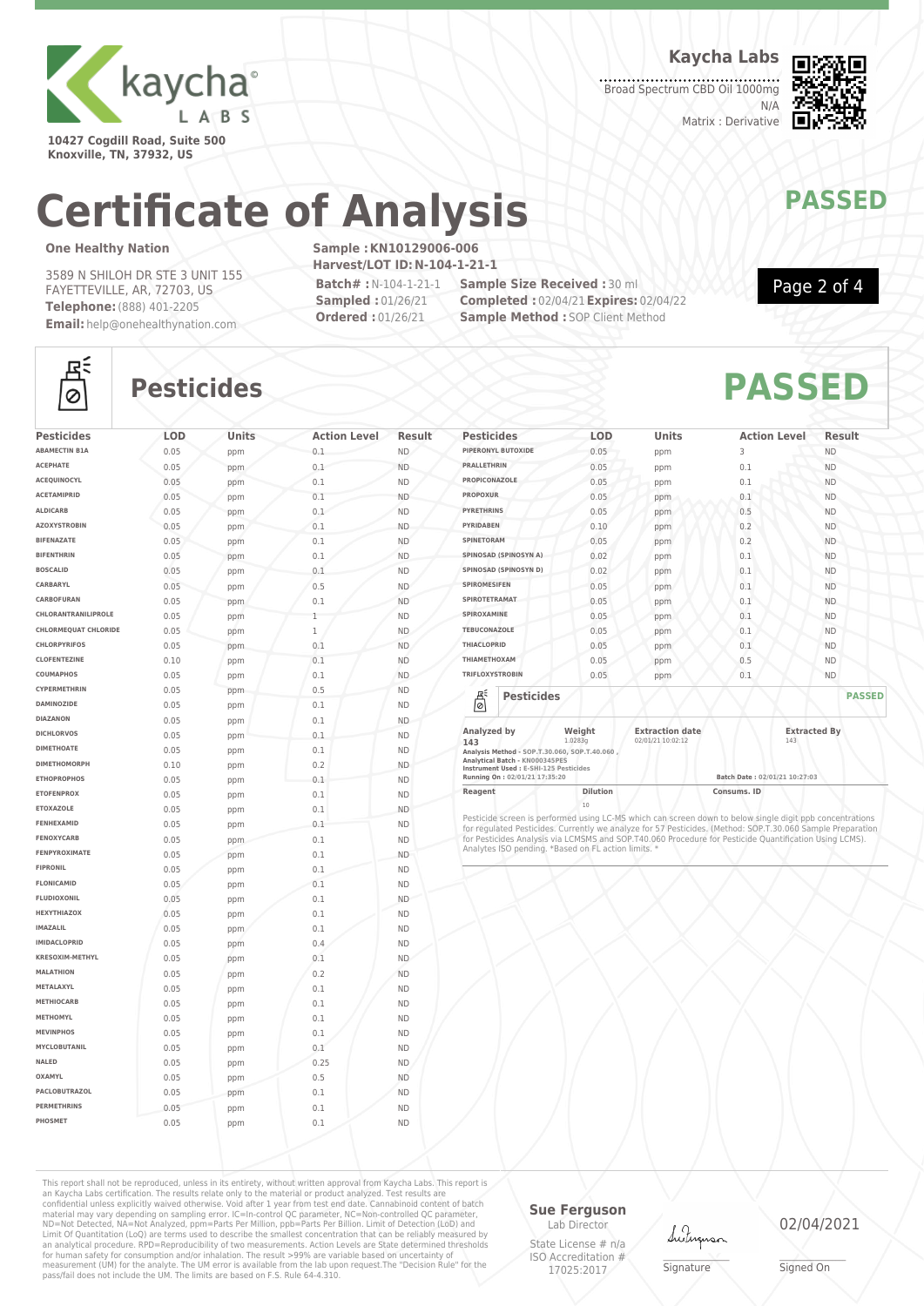

**10427 Cogdill Road, Suite 500 Knoxville, TN, 37932, US**

**Kaycha Labs**

Broad Spectrum CBD Oil 1000mg N/A Matrix : Derivative



# **Certificate of Analysis MANAWAPASSED**

### **One Healthy Nation**

3589 N SHILOH DR STE 3 UNIT 155 FAYETTEVILLE, AR, 72703, US **Telephone:**(888) 401-2205 **Email:** help@onehealthynation.com **Sample :KN10129006-006 Harvest/LOT ID:N-104-1-21-1**

**Batch# :**N-104-1-21-1 **Sampled :** 01/26/21 **Ordered :** 01/26/21

**Sample Size Received :** 30 ml **Completed :** 02/04/21**Expires:** 02/04/22 **Sample Method : SOP Client Method** 



Page 2 of 4

### 조  $\circ$

## **Pesticides PASSED**

| <b>Pesticides</b>           | LOD  | Units      | <b>Action Level</b> | <b>Result</b> |
|-----------------------------|------|------------|---------------------|---------------|
| <b>ABAMECTIN B1A</b>        | 0.05 | ppm        | 0.1                 | ND.           |
| <b>ACEPHATE</b>             | 0.05 | ppm        | 0.1                 | <b>ND</b>     |
| ACEQUINOCYL                 | 0.05 | ppm        | 0.1                 | <b>ND</b>     |
| <b>ACETAMIPRID</b>          | 0.05 | ppm        | 0.1                 | <b>ND</b>     |
| <b>ALDICARB</b>             | 0.05 | ppm        | 0.1                 | <b>ND</b>     |
| <b>AZOXYSTROBIN</b>         | 0.05 | ppm        | 0.1                 | <b>ND</b>     |
| <b>BIFENAZATE</b>           | 0.05 | ppm        | 0.1                 | <b>ND</b>     |
| <b>BIFENTHRIN</b>           | 0.05 | ppm        | 0.1                 | <b>ND</b>     |
| <b>BOSCALID</b>             | 0.05 | ppm        | 0.1                 | <b>ND</b>     |
| CARBARYL                    | 0.05 | ppm        | 0.5                 | <b>ND</b>     |
| CARBOFURAN                  | 0.05 | ppm        | 0.1                 | <b>ND</b>     |
| CHLORANTRANILIPROLE         | 0.05 | ppm        | 1                   | <b>ND</b>     |
| <b>CHLORMEQUAT CHLORIDE</b> | 0.05 | ppm        | 1                   | <b>ND</b>     |
| <b>CHLORPYRIFOS</b>         | 0.05 | ppm        | 0.1                 | <b>ND</b>     |
| <b>CLOFENTEZINE</b>         | 0.10 | ppm        | 0.1                 | <b>ND</b>     |
| COUMAPHOS                   | 0.05 | ppm        | 0.1                 | <b>ND</b>     |
| CYPERMETHRIN                | 0.05 | ppm        | 0.5                 | <b>ND</b>     |
| <b>DAMINOZIDE</b>           | 0.05 | ppm        | 0.1                 | <b>ND</b>     |
| <b>DIAZANON</b>             | 0.05 | ppm        | 0.1                 | <b>ND</b>     |
| <b>DICHLORVOS</b>           | 0.05 | ppm        | 0.1                 | <b>ND</b>     |
| <b>DIMETHOATE</b>           | 0.05 | ppm        | 0.1                 | <b>ND</b>     |
| <b>DIMETHOMORPH</b>         | 0.10 | ppm        | 0.2                 | <b>ND</b>     |
| <b>ETHOPROPHOS</b>          | 0.05 | ppm        | 0.1                 | <b>ND</b>     |
| <b>ETOFENPROX</b>           | 0.05 | ppm        | 0.1                 | <b>ND</b>     |
| <b>ETOXAZOLE</b>            | 0.05 | ppm        | 0.1                 | <b>ND</b>     |
| FENHEXAMID                  | 0.05 | ppm        | 0.1                 | <b>ND</b>     |
| <b>FENOXYCARB</b>           | 0.05 | ppm        | 0.1                 | <b>ND</b>     |
| <b>FENPYROXIMATE</b>        | 0.05 | ppm        | 0.1                 | <b>ND</b>     |
| <b>FIPRONIL</b>             | 0.05 |            | 0.1                 | <b>ND</b>     |
| <b>FLONICAMID</b>           | 0.05 | ppm<br>ppm | 0.1                 | <b>ND</b>     |
| <b>FLUDIOXONIL</b>          | 0.05 | ppm        | 0.1                 | <b>ND</b>     |
| <b>HEXYTHIAZOX</b>          | 0.05 | ppm        | 0.1                 | <b>ND</b>     |
| <b>IMAZALIL</b>             | 0.05 | ppm        | 0.1                 | <b>ND</b>     |
| <b>IMIDACLOPRID</b>         | 0.05 | ppm        | 0.4                 | <b>ND</b>     |
| KRESOXIM-METHYL             | 0.05 | ppm        | 0.1                 | <b>ND</b>     |
| <b>MALATHION</b>            | 0.05 | ppm        | 0.2                 | <b>ND</b>     |
| METALAXYL                   | 0.05 |            | 0.1                 | <b>ND</b>     |
| <b>METHIOCARB</b>           | 0.05 | ppm<br>ppm | 0.1                 | <b>ND</b>     |
| <b>METHOMYL</b>             | 0.05 | ppm        | 0.1                 | <b>ND</b>     |
| <b>MEVINPHOS</b>            | 0.05 |            | 0.1                 | <b>ND</b>     |
| MYCLOBUTANIL                | 0.05 | ppm        | 0.1                 | <b>ND</b>     |
| NALED                       |      | ppm        | 0.25                | <b>ND</b>     |
| OXAMYL                      | 0.05 | ppm        |                     |               |
| PACLOBUTRAZOL               | 0.05 | ppm        | 0.5                 | <b>ND</b>     |
| <b>PERMETHRINS</b>          | 0.05 | ppm        | 0.1                 | <b>ND</b>     |
|                             | 0.05 | ppm        | 0.1                 | <b>ND</b>     |
| PHOSMET                     | 0.05 | ppm        | 0.1                 | <b>ND</b>     |

| <b>Pesticides</b>                                                                                   | <b>LOD</b>        | <b>Units</b>                                | <b>Action Level</b> | Result              |
|-----------------------------------------------------------------------------------------------------|-------------------|---------------------------------------------|---------------------|---------------------|
| PIPERONYL BUTOXIDE                                                                                  | 0.05              | ppm                                         | 3                   | <b>ND</b>           |
| <b>PRALLETHRIN</b>                                                                                  | 0.05              | ppm                                         | 0.1                 | <b>ND</b>           |
| PROPICONAZOLE                                                                                       | 0.05              | ppm                                         | 0.1                 | <b>ND</b>           |
| <b>PROPOXUR</b>                                                                                     | 0.05              | ppm                                         | 0.1                 | <b>ND</b>           |
| <b>PYRETHRINS</b>                                                                                   | 0.05              | ppm                                         | 0.5                 | <b>ND</b>           |
| <b>PYRIDABEN</b>                                                                                    | 0.10              | ppm                                         | 0.2                 | <b>ND</b>           |
| SPINETORAM                                                                                          | 0.05              | ppm                                         | 0.2                 | <b>ND</b>           |
| SPINOSAD (SPINOSYN A)                                                                               | 0.02              | ppm                                         | 0.1                 | <b>ND</b>           |
| SPINOSAD (SPINOSYN D)                                                                               | 0.02              | ppm                                         | 0.1                 | <b>ND</b>           |
| <b>SPIROMESIFEN</b>                                                                                 | 0.05              | ppm                                         | 0.1                 | <b>ND</b>           |
| SPIROTETRAMAT                                                                                       | 0.05              | ppm                                         | 0.1                 | <b>ND</b>           |
| SPIROXAMINE                                                                                         | 0.05              | ppm                                         | 0.1                 | <b>ND</b>           |
| <b>TEBUCONAZOLE</b>                                                                                 | 0.05              | ppm                                         | 0.1                 | <b>ND</b>           |
| <b>THIACLOPRID</b>                                                                                  | 0.05              | ppm                                         | 0.1                 | <b>ND</b>           |
| ΤΗΙΑΜΕΤΗΟΧΑΜ                                                                                        | 0.05              | ppm                                         | 0.5                 | <b>ND</b>           |
| <b>TRIFLOXYSTROBIN</b>                                                                              | 0.05              | ppm                                         | 0.1                 | <b>ND</b>           |
| 븮<br><b>Pesticides</b>                                                                              |                   |                                             |                     | <b>PASSED</b>       |
| Analyzed by<br>143<br>Analysis Method - SOP.T.30.060, SOP.T.40.060,<br>Analytical Patch VN00024EDEC | Weight<br>1.0283q | <b>Extraction date</b><br>02/01/21 10:02:12 | 143                 | <b>Extracted By</b> |

**Analytical Batch - KN000345PES Instrument Used : E-SHI-125 Pesticides Running On : 02/01/21 17:35:20 Batch Date : 02/01/21 10:27:03**

**Reagent Dilution Dilution Consums. ID** 

20<br>Pesticide screen is performed using LC-MS which can screen down to below single digit ppb concentrations<br>for regulated Pesticides. Currently we analyze for 57 Pesticides. (Method: SOP.T.30.060 Sample Preparation<br>for Pes

This report shall not be reproduced, unless in its entirety, without written approval from Kaycha Labs. This report is an Kaycha Labs certification. The results relate only to the material or product analyzed. Test results are<br>confidential unless explicitly waived otherwise. Void after 1 year from test end date. Cannabinoid content of batc

### **Sue Ferguson**

Lab Director State License # n/a ISO Accreditation # 17025:2017

Lutun

\_\_\_\_\_\_\_\_\_\_\_\_\_\_\_\_\_\_\_ Signature

02/04/2021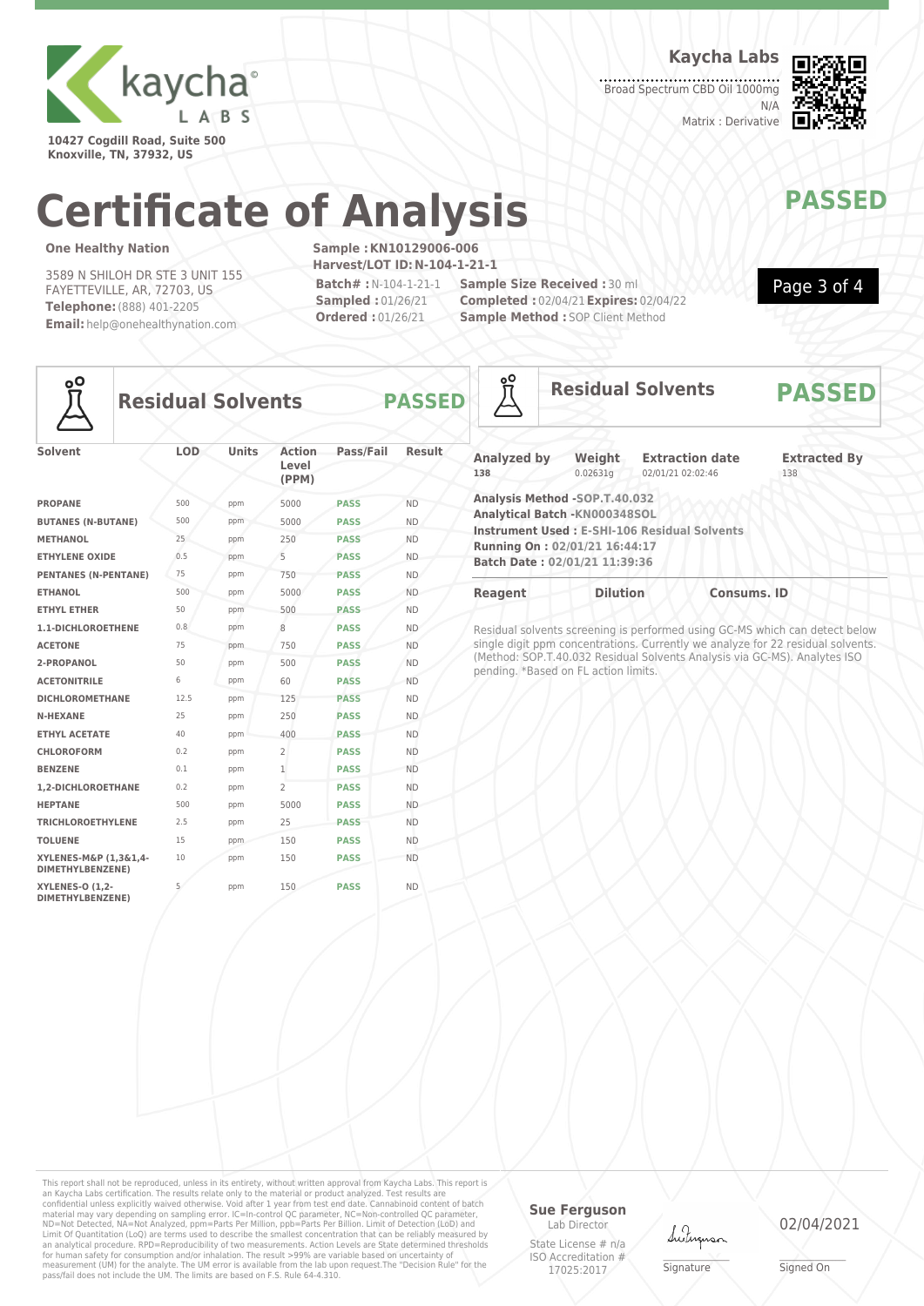

**10427 Cogdill Road, Suite 500 Knoxville, TN, 37932, US**

**Kaycha Labs**

Broad Spectrum CBD Oil 1000mg N/A Matrix : Derivative



Page 3 of 4

# **Certificate of Analysis MANAWAPASSED**

### **One Healthy Nation**

3589 N SHILOH DR STE 3 UNIT 155 FAYETTEVILLE, AR, 72703, US **Telephone:**(888) 401-2205 **Email:** help@onehealthynation.com **Sample :KN10129006-006 Harvest/LOT ID:N-104-1-21-1 Batch# :**N-104-1-21-1

**Sampled :** 01/26/21 **Ordered :** 01/26/21

**Sample Size Received :** 30 ml **Completed :** 02/04/21**Expires:** 02/04/22 **Sample Method : SOP Client Method** 



### **Residual Solvents PASSED**

| Solvent                                    | <b>LOD</b> | <b>Units</b> | <b>Action</b><br>Level<br>(PPM) | Pass/Fail   | <b>Result</b> |
|--------------------------------------------|------------|--------------|---------------------------------|-------------|---------------|
| <b>PROPANE</b>                             | 500        | ppm          | 5000                            | <b>PASS</b> | <b>ND</b>     |
| <b>BUTANES (N-BUTANE)</b>                  | 500        | ppm          | 5000                            | <b>PASS</b> | <b>ND</b>     |
| <b>METHANOL</b>                            | 25         | ppm          | 250                             | <b>PASS</b> | <b>ND</b>     |
| <b>ETHYLENE OXIDE</b>                      | 0.5        | ppm          | 5                               | <b>PASS</b> | <b>ND</b>     |
| <b>PENTANES (N-PENTANE)</b>                | 75         | ppm          | 750                             | <b>PASS</b> | <b>ND</b>     |
| <b>ETHANOL</b>                             | 500        | ppm          | 5000                            | <b>PASS</b> | <b>ND</b>     |
| <b>ETHYL ETHER</b>                         | 50         | ppm          | 500                             | <b>PASS</b> | <b>ND</b>     |
| 1.1-DICHLOROETHENE                         | 0.8        | ppm          | 8                               | <b>PASS</b> | <b>ND</b>     |
| <b>ACETONE</b>                             | 75         | ppm          | 750                             | <b>PASS</b> | <b>ND</b>     |
| 2-PROPANOL                                 | 50         | ppm          | 500                             | <b>PASS</b> | <b>ND</b>     |
| <b>ACETONITRILE</b>                        | 6          | ppm          | 60                              | <b>PASS</b> | <b>ND</b>     |
| <b>DICHLOROMETHANE</b>                     | 12.5       | ppm          | 125                             | <b>PASS</b> | <b>ND</b>     |
| <b>N-HEXANE</b>                            | 25         | ppm          | 250                             | <b>PASS</b> | <b>ND</b>     |
| <b>ETHYL ACETATE</b>                       | 40         | ppm          | 400                             | <b>PASS</b> | <b>ND</b>     |
| <b>CHLOROFORM</b>                          | 0.2        | ppm          | $\overline{2}$                  | <b>PASS</b> | <b>ND</b>     |
| <b>BENZENE</b>                             | 0.1        | ppm          | $\mathbf{1}$                    | <b>PASS</b> | <b>ND</b>     |
| 1.2-DICHLOROETHANE                         | 0.2        | ppm          | $\overline{2}$                  | <b>PASS</b> | <b>ND</b>     |
| <b>HEPTANE</b>                             | 500        | ppm          | 5000                            | <b>PASS</b> | <b>ND</b>     |
| <b>TRICHLOROETHYLENE</b>                   | 2.5        | ppm          | 25                              | <b>PASS</b> | <b>ND</b>     |
| <b>TOLUENE</b>                             | 15         | ppm          | 150                             | <b>PASS</b> | <b>ND</b>     |
| XYLENES-M&P (1,3&1,4-<br>DIMETHYLBENZENE)  | 10         | ppm          | 150                             | <b>PASS</b> | <b>ND</b>     |
| <b>XYLENES-O (1,2-</b><br>DIMETHYLBENZENE) | 5          | ppm          | 150                             | <b>PASS</b> | <b>ND</b>     |

| ٥O                        |                                                                                                                                   | <b>Residual Solvents</b>                            | <b>PASSED</b>              |
|---------------------------|-----------------------------------------------------------------------------------------------------------------------------------|-----------------------------------------------------|----------------------------|
| <b>Analyzed by</b><br>138 | Weight<br>0.02631q                                                                                                                | <b>Extraction date</b><br>02/01/21 02:02:46         | <b>Extracted By</b><br>138 |
|                           | Analysis Method -SOP.T.40.032<br>Analytical Batch - KN000348SOL<br>Running On: 02/01/21 16:44:17<br>Batch Date: 02/01/21 11:39:36 | <b>Instrument Used: E-SHI-106 Residual Solvents</b> |                            |
| <b>Reagent</b>            | <b>Dilution</b>                                                                                                                   | <b>Consums. ID</b>                                  |                            |

Residual solvents screening is performed using GC-MS which can detect below single digit ppm concentrations. Currently we analyze for 22 residual solvents. (Method: SOP.T.40.032 Residual Solvents Analysis via GC-MS). Analytes ISO pending. \*Based on FL action limits.

This report shall not be reproduced, unless in its entirety, without written approval from Kaycha Labs. This report is<br>an Kaycha Labs certification. The results relate only to the materal or product analyzed. Test results

### **Sue Ferguson**

Lab Director State License # n/a ISO Accreditation # 17025:2017



\_\_\_\_\_\_\_\_\_\_\_\_\_\_\_\_\_\_\_ Signature

02/04/2021